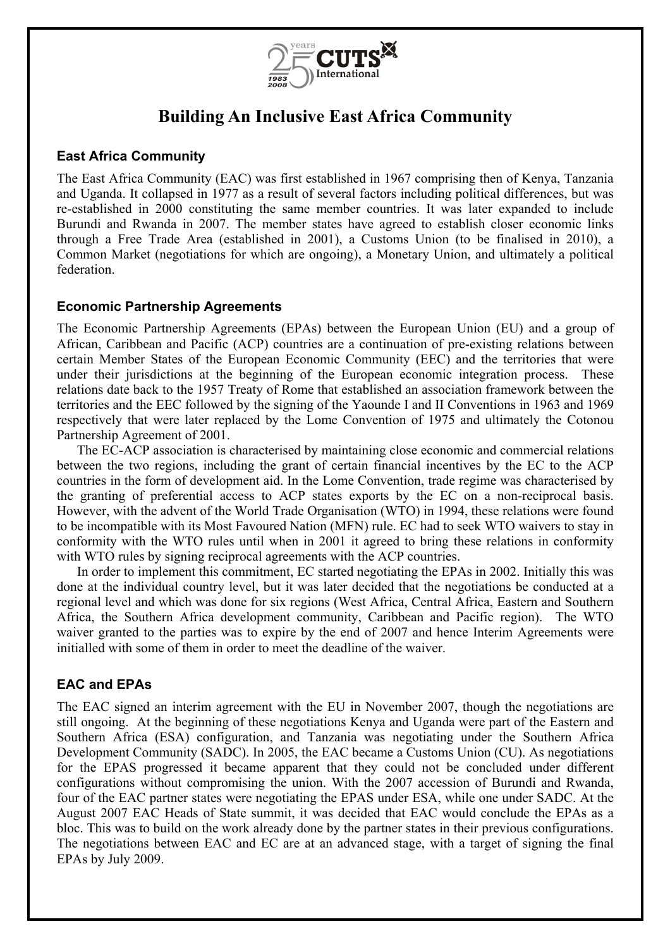

# **Building An Inclusive East Africa Community**

## **East Africa Community**

The East Africa Community (EAC) was first established in 1967 comprising then of Kenya, Tanzania and Uganda. It collapsed in 1977 as a result of several factors including political differences, but was re-established in 2000 constituting the same member countries. It was later expanded to include Burundi and Rwanda in 2007. The member states have agreed to establish closer economic links through a Free Trade Area (established in 2001), a Customs Union (to be finalised in 2010), a Common Market (negotiations for which are ongoing), a Monetary Union, and ultimately a political federation.

## **Economic Partnership Agreements**

The Economic Partnership Agreements (EPAs) between the European Union (EU) and a group of African, Caribbean and Pacific (ACP) countries are a continuation of pre-existing relations between certain Member States of the European Economic Community (EEC) and the territories that were under their jurisdictions at the beginning of the European economic integration process. These relations date back to the 1957 Treaty of Rome that established an association framework between the territories and the EEC followed by the signing of the Yaounde I and II Conventions in 1963 and 1969 respectively that were later replaced by the Lome Convention of 1975 and ultimately the Cotonou Partnership Agreement of 2001.

The EC-ACP association is characterised by maintaining close economic and commercial relations between the two regions, including the grant of certain financial incentives by the EC to the ACP countries in the form of development aid. In the Lome Convention, trade regime was characterised by the granting of preferential access to ACP states exports by the EC on a non-reciprocal basis. However, with the advent of the World Trade Organisation (WTO) in 1994, these relations were found to be incompatible with its Most Favoured Nation (MFN) rule. EC had to seek WTO waivers to stay in conformity with the WTO rules until when in 2001 it agreed to bring these relations in conformity with WTO rules by signing reciprocal agreements with the ACP countries.

In order to implement this commitment, EC started negotiating the EPAs in 2002. Initially this was done at the individual country level, but it was later decided that the negotiations be conducted at a regional level and which was done for six regions (West Africa, Central Africa, Eastern and Southern Africa, the Southern Africa development community, Caribbean and Pacific region). The WTO waiver granted to the parties was to expire by the end of 2007 and hence Interim Agreements were initialled with some of them in order to meet the deadline of the waiver.

## **EAC and EPAs**

The EAC signed an interim agreement with the EU in November 2007, though the negotiations are still ongoing. At the beginning of these negotiations Kenya and Uganda were part of the Eastern and Southern Africa (ESA) configuration, and Tanzania was negotiating under the Southern Africa Development Community (SADC). In 2005, the EAC became a Customs Union (CU). As negotiations for the EPAS progressed it became apparent that they could not be concluded under different configurations without compromising the union. With the 2007 accession of Burundi and Rwanda, four of the EAC partner states were negotiating the EPAS under ESA, while one under SADC. At the August 2007 EAC Heads of State summit, it was decided that EAC would conclude the EPAs as a bloc. This was to build on the work already done by the partner states in their previous configurations. The negotiations between EAC and EC are at an advanced stage, with a target of signing the final EPAs by July 2009.